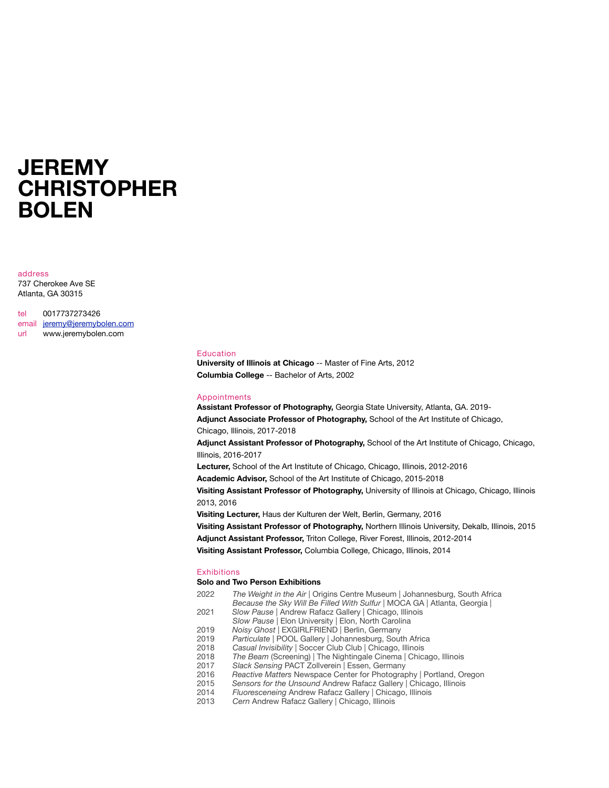# **JEREMY CHRISTOPHER BOLEN**

address 737 Cherokee Ave SE Atlanta, GA 30315

tel 0017737273426 email [jeremy@jeremybolen.com](mailto:jeremy@jeremybolen.com) url www.jeremybolen.com

#### Education

**University of Illinois at Chicago** -- Master of Fine Arts, 2012 **Columbia College** -- Bachelor of Arts, 2002

#### Appointments

**Assistant Professor of Photography,** Georgia State University, Atlanta, GA. 2019- **Adjunct Associate Professor of Photography,** School of the Art Institute of Chicago, Chicago, Illinois, 2017-2018 **Adjunct Assistant Professor of Photography,** School of the Art Institute of Chicago, Chicago, Illinois, 2016-2017 **Lecturer,** School of the Art Institute of Chicago, Chicago, Illinois, 2012-2016 **Academic Advisor,** School of the Art Institute of Chicago, 2015-2018 **Visiting Assistant Professor of Photography,** University of Illinois at Chicago, Chicago, Illinois 2013, 2016 **Visiting Lecturer,** Haus der Kulturen der Welt, Berlin, Germany, 2016 **Visiting Assistant Professor of Photography,** Northern Illinois University, Dekalb, Illinois, 2015 **Adjunct Assistant Professor,** Triton College, River Forest, Illinois, 2012-2014 **Visiting Assistant Professor,** Columbia College, Chicago, Illinois, 2014

#### **Exhibitions**

#### **Solo and Two Person Exhibitions**

- 2022 *The Weight in the Air* | Origins Centre Museum | Johannesburg, South Africa *Because the Sky Will Be Filled With Sulfur* | MOCA GA | Atlanta, Georgia |
- 2021 *Slow Pause* | Andrew Rafacz Gallery | Chicago, Illinois
- *Slow Pause* | Elon University | Elon, North Carolina
- 2019 *Noisy Ghost |* EXGIRLFRIEND | Berlin, Germany Particulate | POOL Gallery | Johannesburg, South Africa
- 2018 *Casual Invisibility* | Soccer Club Club | Chicago, Illinois
- 2018 *The Beam* (Screening) | The Nightingale Cinema | Chicago, Illinois
- 2017 *Slack Sensing* PACT Zollverein | Essen, Germany
- 2016 *Reactive Matters* Newspace Center for Photography | Portland, Oregon
- 2015 *Sensors for the Unsound* Andrew Rafacz Gallery | Chicago, Illinois
- 2014 *Fluoresceneing* Andrew Rafacz Gallery | Chicago, Illinois
- 2013 *Cern* Andrew Rafacz Gallery | Chicago, Illinois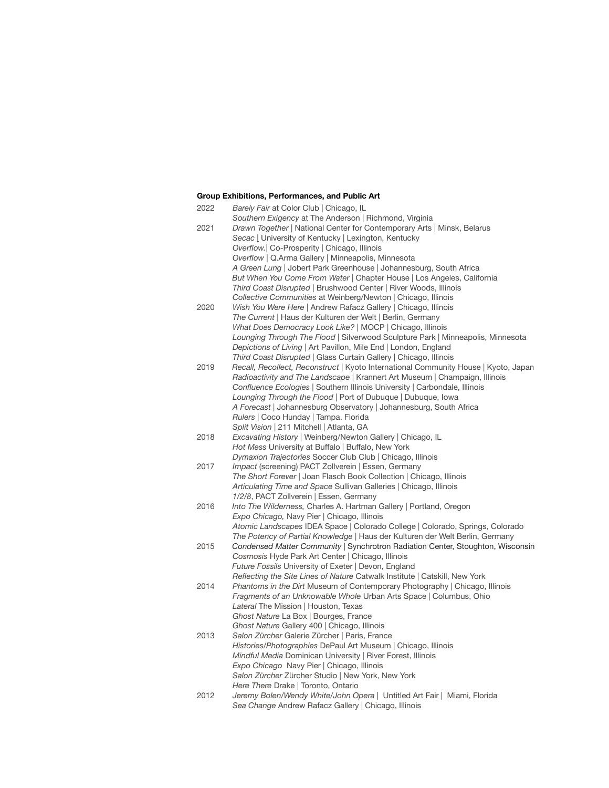## **Group Exhibitions, Performances, and Public Art**

| 2022 | Barely Fair at Color Club   Chicago, IL                                             |
|------|-------------------------------------------------------------------------------------|
|      | Southern Exigency at The Anderson   Richmond, Virginia                              |
| 2021 | Drawn Together   National Center for Contemporary Arts   Minsk, Belarus             |
|      | Secac   University of Kentucky   Lexington, Kentucky                                |
|      | Overflow.   Co-Prosperity   Chicago, Illinois                                       |
|      | Overflow   Q.Arma Gallery   Minneapolis, Minnesota                                  |
|      | A Green Lung   Jobert Park Greenhouse   Johannesburg, South Africa                  |
|      | But When You Come From Water   Chapter House   Los Angeles, California              |
|      | Third Coast Disrupted   Brushwood Center   River Woods, Illinois                    |
|      | Collective Communities at Weinberg/Newton   Chicago, Illinois                       |
| 2020 | Wish You Were Here   Andrew Rafacz Gallery   Chicago, Illinois                      |
|      | The Current   Haus der Kulturen der Welt   Berlin, Germany                          |
|      | What Does Democracy Look Like?   MOCP   Chicago, Illinois                           |
|      | Lounging Through The Flood   Silverwood Sculpture Park   Minneapolis, Minnesota     |
|      | Depictions of Living   Art Pavillon, Mile End   London, England                     |
|      | Third Coast Disrupted   Glass Curtain Gallery   Chicago, Illinois                   |
| 2019 | Recall, Recollect, Reconstruct   Kyoto International Community House   Kyoto, Japan |
|      | Radioactivity and The Landscape   Krannert Art Museum   Champaign, Illinois         |
|      | Confluence Ecologies   Southern Illinois University   Carbondale, Illinois          |
|      | Lounging Through the Flood   Port of Dubuque   Dubuque, Iowa                        |
|      | A Forecast   Johannesburg Observatory   Johannesburg, South Africa                  |
|      | Rulers   Coco Hunday   Tampa. Florida                                               |
|      | Split Vision   211 Mitchell   Atlanta, GA                                           |
| 2018 | Excavating History   Weinberg/Newton Gallery   Chicago, IL                          |
|      | Hot Mess University at Buffalo   Buffalo, New York                                  |
|      | Dymaxion Trajectories Soccer Club Club   Chicago, Illinois                          |
| 2017 | Impact (screening) PACT Zollverein   Essen, Germany                                 |
|      | The Short Forever   Joan Flasch Book Collection   Chicago, Illinois                 |
|      | Articulating Time and Space Sullivan Galleries   Chicago, Illinois                  |
|      | 1/2/8, PACT Zollverein   Essen, Germany                                             |
| 2016 | Into The Wilderness, Charles A. Hartman Gallery   Portland, Oregon                  |
|      | Expo Chicago, Navy Pier   Chicago, Illinois                                         |
|      | Atomic Landscapes IDEA Space   Colorado College   Colorado, Springs, Colorado       |
|      | The Potency of Partial Knowledge   Haus der Kulturen der Welt Berlin, Germany       |
| 2015 | Condensed Matter Community   Synchrotron Radiation Center, Stoughton, Wisconsin     |
|      | Cosmosis Hyde Park Art Center   Chicago, Illinois                                   |
|      | Future Fossils University of Exeter   Devon, England                                |
|      | Reflecting the Site Lines of Nature Catwalk Institute   Catskill, New York          |
| 2014 | Phantoms in the Dirt Museum of Contemporary Photography   Chicago, Illinois         |
|      | Fragments of an Unknowable Whole Urban Arts Space   Columbus, Ohio                  |
|      | Lateral The Mission   Houston, Texas                                                |
|      | Ghost Nature La Box   Bourges, France                                               |
|      | Ghost Nature Gallery 400   Chicago, Illinois                                        |
| 2013 | Salon Zürcher Galerie Zürcher   Paris, France                                       |
|      | Histories/Photographies DePaul Art Museum   Chicago, Illinois                       |
|      | Mindful Media Dominican University   River Forest, Illinois                         |
|      | Expo Chicago Navy Pier   Chicago, Illinois                                          |
|      | Salon Zürcher Zürcher Studio   New York, New York                                   |
|      | Here There Drake   Toronto, Ontario                                                 |
| 2012 | Jeremy Bolen/Wendy White/John Opera   Untitled Art Fair   Miami, Florida            |
|      | Sea Change Andrew Rafacz Gallery   Chicago, Illinois                                |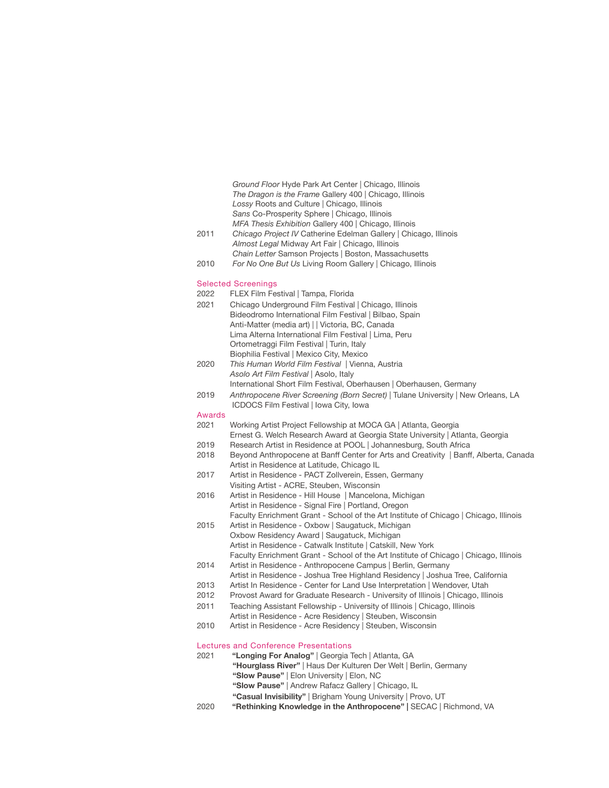*Ground Floor* Hyde Park Art Center | Chicago, Illinois *The Dragon is the Frame* Gallery 400 | Chicago, Illinois *Lossy* Roots and Culture | Chicago, Illinois *Sans* Co-Prosperity Sphere | Chicago, Illinois *MFA Thesis Exhibition* Gallery 400 | Chicago, Illinois

- 2011 *Chicago Project IV* Catherine Edelman Gallery | Chicago, Illinois *Almost Legal* Midway Art Fair | Chicago, Illinois *Chain Letter* Samson Projects | Boston, Massachusetts
- 2010 *For No One But Us* Living Room Gallery | Chicago, Illinois

#### Selected Screenings

- 2022 FLEX Film Festival | Tampa, Florida
- 2021 Chicago Underground Film Festival | Chicago, Illinois Bideodromo International Film Festival | Bilbao, Spain Anti-Matter (media art) | | Victoria, BC, Canada Lima Alterna International Film Festival | Lima, Peru Ortometraggi Film Festival | Turin, Italy Biophilia Festival | Mexico City, Mexico
- 2020 *This Human World Film Festival |* Vienna, Austria *Asolo Art Film Festival* | Asolo, Italy International Short Film Festival, Oberhausen | Oberhausen, Germany
- 2019 *Anthropocene River Screening (Born Secret)* | Tulane University | New Orleans, LA ICDOCS Film Festival | Iowa City, Iowa
- Awards
- 2021 Working Artist Project Fellowship at MOCA GA | Atlanta, Georgia Ernest G. Welch Research Award at Georgia State University | Atlanta, Georgia
- 2019 Research Artist in Residence at POOL | Johannesburg, South Africa
- 2018 Beyond Anthropocene at Banff Center for Arts and Creativity | Banff, Alberta, Canada Artist in Residence at Latitude, Chicago IL
- 2017 Artist in Residence PACT Zollverein, Essen, Germany Visiting Artist - ACRE, Steuben, Wisconsin
- 2016 Artist in Residence Hill House | Mancelona, Michigan Artist in Residence - Signal Fire | Portland, Oregon
- Faculty Enrichment Grant School of the Art Institute of Chicago | Chicago, Illinois 2015 Artist in Residence - Oxbow | Saugatuck, Michigan
- Oxbow Residency Award | Saugatuck, Michigan Artist in Residence - Catwalk Institute | Catskill, New York Faculty Enrichment Grant - School of the Art Institute of Chicago | Chicago, Illinois
- 2014 Artist in Residence Anthropocene Campus | Berlin, Germany
- Artist in Residence Joshua Tree Highland Residency | Joshua Tree, California
- 2013 Artist In Residence Center for Land Use Interpretation | Wendover, Utah
- 2012Provost Award for Graduate Research University of Illinois | Chicago, Illinois
- 2011 Teaching Assistant Fellowship University of Illinois | Chicago, Illinois
- Artist in Residence Acre Residency | Steuben, Wisconsin 2010 Artist in Residence - Acre Residency | Steuben, Wisconsin

# Lectures and Conference Presentations

- 2021 **"Longing For Analog"** | Georgia Tech | Atlanta, GA
	- **"Hourglass River"** | Haus Der Kulturen Der Welt | Berlin, Germany
		- **"Slow Pause"** | Elon University | Elon, NC
		- **"Slow Pause"** | Andrew Rafacz Gallery | Chicago, IL
		- **"Casual Invisibility"** | Brigham Young University | Provo, UT
- 2020 **"Rethinking Knowledge in the Anthropocene" |** SECAC | Richmond, VA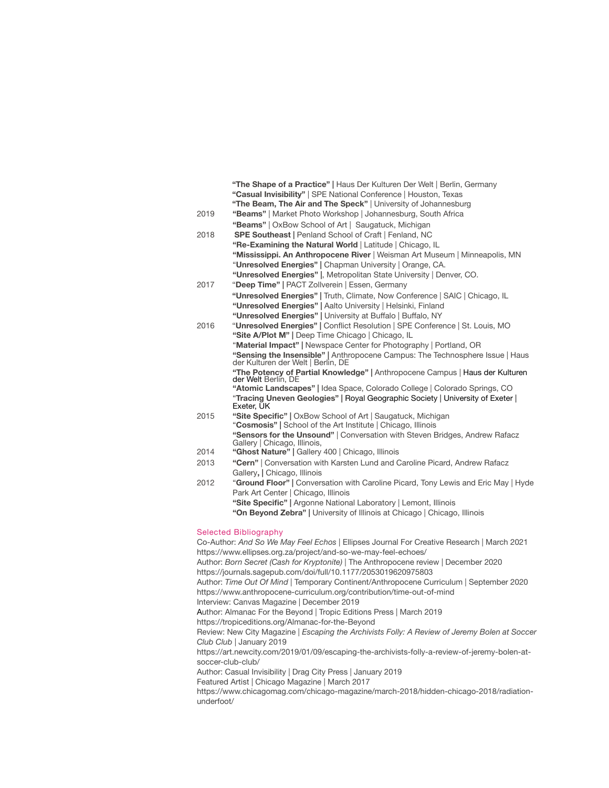|                                                                | "The Shape of a Practice"   Haus Der Kulturen Der Welt   Berlin, Germany                                                                                    |  |
|----------------------------------------------------------------|-------------------------------------------------------------------------------------------------------------------------------------------------------------|--|
|                                                                | "Casual Invisibility"   SPE National Conference   Houston, Texas                                                                                            |  |
|                                                                | "The Beam, The Air and The Speck"   University of Johannesburg                                                                                              |  |
| 2019                                                           | "Beams"   Market Photo Workshop   Johannesburg, South Africa                                                                                                |  |
|                                                                | "Beams"   OxBow School of Art   Saugatuck, Michigan                                                                                                         |  |
| 2018                                                           | <b>SPE Southeast   Penland School of Craft   Fenland, NC</b>                                                                                                |  |
|                                                                | "Re-Examining the Natural World   Latitude   Chicago, IL                                                                                                    |  |
|                                                                | "Mississippi. An Anthropocene River   Weisman Art Museum   Minneapolis, MN                                                                                  |  |
|                                                                | "Unresolved Energies"   Chapman University   Orange, CA.                                                                                                    |  |
|                                                                | "Unresolved Energies"  , Metropolitan State University   Denver, CO.                                                                                        |  |
| 2017                                                           | "Deep Time"   PACT Zollverein   Essen, Germany                                                                                                              |  |
|                                                                | "Unresolved Energies"   Truth, Climate, Now Conference   SAIC   Chicago, IL                                                                                 |  |
|                                                                | "Unresolved Energies"   Aalto University   Helsinki, Finland                                                                                                |  |
|                                                                | "Unresolved Energies"   University at Buffalo   Buffalo, NY                                                                                                 |  |
| 2016                                                           | "Unresolved Energies"   Conflict Resolution   SPE Conference   St. Louis, MO                                                                                |  |
|                                                                | "Site A/Plot M"   Deep Time Chicago   Chicago, IL                                                                                                           |  |
|                                                                | "Material Impact"   Newspace Center for Photography   Portland, OR                                                                                          |  |
|                                                                | "Sensing the Insensible"   Anthropocene Campus: The Technosphere Issue   Haus<br>der Kulturen der Welt   Berlin, DE                                         |  |
|                                                                | "The Potency of Partial Knowledge"   Anthropocene Campus   Haus der Kulturen<br>der Welt Berlin, DE                                                         |  |
|                                                                | "Atomic Landscapes"   Idea Space, Colorado College   Colorado Springs, CO                                                                                   |  |
|                                                                | "Tracing Uneven Geologies"   Royal Geographic Society   University of Exeter  <br>Exeter, UK                                                                |  |
| 2015                                                           | "Site Specific"   OxBow School of Art   Saugatuck, Michigan                                                                                                 |  |
|                                                                | "Cosmosis"   School of the Art Institute   Chicago, Illinois                                                                                                |  |
|                                                                | "Sensors for the Unsound"   Conversation with Steven Bridges, Andrew Rafacz<br>Gallery   Chicago, Illinois,                                                 |  |
| 2014                                                           | "Ghost Nature"   Gallery 400   Chicago, Illinois                                                                                                            |  |
| 2013                                                           | "Cern"   Conversation with Karsten Lund and Caroline Picard, Andrew Rafacz                                                                                  |  |
|                                                                | Gallery,   Chicago, Illinois                                                                                                                                |  |
| 2012                                                           | "Ground Floor"   Conversation with Caroline Picard, Tony Lewis and Eric May   Hyde                                                                          |  |
|                                                                | Park Art Center   Chicago, Illinois                                                                                                                         |  |
|                                                                | "Site Specific"   Argonne National Laboratory   Lemont, Illinois                                                                                            |  |
|                                                                | "On Beyond Zebra"   University of Illinois at Chicago   Chicago, Illinois                                                                                   |  |
|                                                                |                                                                                                                                                             |  |
| <b>Selected Bibliography</b>                                   |                                                                                                                                                             |  |
|                                                                | Co-Author: And So We May Feel Echos   Ellipses Journal For Creative Research   March 2021<br>https://www.ellipses.org.za/project/and-so-we-may-feel-echoes/ |  |
|                                                                | Author: Born Secret (Cash for Kryptonite)   The Anthropocene review   December 2020                                                                         |  |
| https://journals.sagepub.com/doi/full/10.1177/2053019620975803 |                                                                                                                                                             |  |
|                                                                |                                                                                                                                                             |  |

Author: *Time Out Of Mind* | Temporary Continent/Anthropocene Curriculum | September 2020 https://www.anthropocene-curriculum.org/contribution/time-out-of-mind Interview: Canvas Magazine | December 2019 Author: Almanac For the Beyond | Tropic Editions Press | March 2019 https://tropiceditions.org/Almanac-for-the-Beyond Review: New City Magazine | *Escaping the Archivists Folly: A Review of Jeremy Bolen at Soccer Club Club* | January 2019 https://art.newcity.com/2019/01/09/escaping-the-archivists-folly-a-review-of-jeremy-bolen-atsoccer-club-club/ Author: Casual Invisibility | Drag City Press | January 2019 Featured Artist | Chicago Magazine | March 2017 https://www.chicagomag.com/chicago-magazine/march-2018/hidden-chicago-2018/radiation-

underfoot/